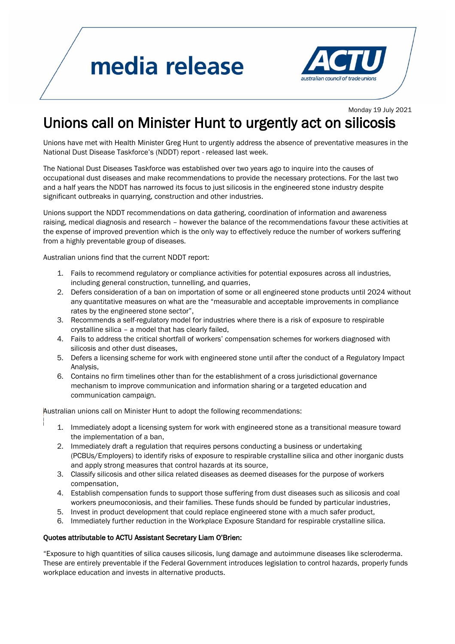## media release



Monday 19 July 2021

## Unions call on Minister Hunt to urgently act on silicosis

Unions have met with Health Minister Greg Hunt to urgently address the absence of preventative measures in the National Dust Disease Taskforce's (NDDT) report - released last week.

The National Dust Diseases Taskforce was established over two years ago to inquire into the causes of occupational dust diseases and make recommendations to provide the necessary protections. For the last two and a half years the NDDT has narrowed its focus to just silicosis in the engineered stone industry despite significant outbreaks in quarrying, construction and other industries.

Unions support the NDDT recommendations on data gathering, coordination of information and awareness raising, medical diagnosis and research – however the balance of the recommendations favour these activities at the expense of improved prevention which is the only way to effectively reduce the number of workers suffering from a highly preventable group of diseases.

Australian unions find that the current NDDT report:

- 1. Fails to recommend regulatory or compliance activities for potential exposures across all industries, including general construction, tunnelling, and quarries,
- 2. Defers consideration of a ban on importation of some or all engineered stone products until 2024 without any quantitative measures on what are the "measurable and acceptable improvements in compliance rates by the engineered stone sector",
- 3. Recommends a self-regulatory model for industries where there is a risk of exposure to respirable crystalline silica – a model that has clearly failed,
- 4. Fails to address the critical shortfall of workers' compensation schemes for workers diagnosed with silicosis and other dust diseases,
- 5. Defers a licensing scheme for work with engineered stone until after the conduct of a Regulatory Impact Analysis,
- 6. Contains no firm timelines other than for the establishment of a cross jurisdictional governance mechanism to improve communication and information sharing or a targeted education and communication campaign.

Australian unions call on Minister Hunt to adopt the following recommendations:

- 1. Immediately adopt a licensing system for work with engineered stone as a transitional measure toward the implementation of a ban,
- 2. Immediately draft a regulation that requires persons conducting a business or undertaking (PCBUs/Employers) to identify risks of exposure to respirable crystalline silica and other inorganic dusts and apply strong measures that control hazards at its source,
- 3. Classify silicosis and other silica related diseases as deemed diseases for the purpose of workers compensation,
- 4. Establish compensation funds to support those suffering from dust diseases such as silicosis and coal workers pneumoconiosis, and their families. These funds should be funded by particular industries,
- 5. Invest in product development that could replace engineered stone with a much safer product,
- 6. Immediately further reduction in the Workplace Exposure Standard for respirable crystalline silica.

## Quotes attributable to ACTU Assistant Secretary Liam O'Brien:

"Exposure to high quantities of silica causes silicosis, lung damage and autoimmune diseases like scleroderma. These are entirely preventable if the Federal Government introduces legislation to control hazards, properly funds workplace education and invests in alternative products.